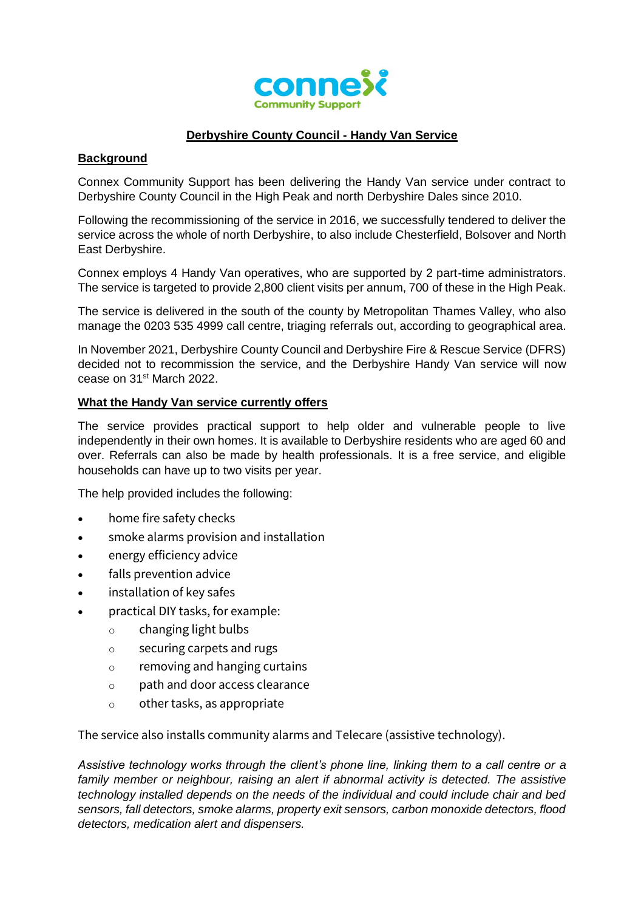

# **Derbyshire County Council - Handy Van Service**

#### **Background**

Connex Community Support has been delivering the Handy Van service under contract to Derbyshire County Council in the High Peak and north Derbyshire Dales since 2010.

Following the recommissioning of the service in 2016, we successfully tendered to deliver the service across the whole of north Derbyshire, to also include Chesterfield, Bolsover and North East Derbyshire.

Connex employs 4 Handy Van operatives, who are supported by 2 part-time administrators. The service is targeted to provide 2,800 client visits per annum, 700 of these in the High Peak.

The service is delivered in the south of the county by Metropolitan Thames Valley, who also manage the 0203 535 4999 call centre, triaging referrals out, according to geographical area.

In November 2021, Derbyshire County Council and Derbyshire Fire & Rescue Service (DFRS) decided not to recommission the service, and the Derbyshire Handy Van service will now cease on 31st March 2022.

#### **What the Handy Van service currently offers**

The service provides practical support to help older and vulnerable people to live independently in their own homes. It is available to Derbyshire residents who are aged 60 and over. Referrals can also be made by health professionals. It is a free service, and eligible households can have up to two visits per year.

The help provided includes the following:

- home fire safety checks
- smoke alarms provision and installation
- energy efficiency advice
- falls prevention advice
- installation of key safes
- practical DIY tasks, for example:
	- o changing light bulbs
	- o securing carpets and rugs
	- o removing and hanging curtains
	- o path and door access clearance
	- o other tasks, as appropriate

The service also installs community alarms and Telecare (assistive technology).

*Assistive technology works through the client's phone line, linking them to a call centre or a family member or neighbour, raising an alert if abnormal activity is detected. The assistive technology installed depends on the needs of the individual and could include chair and bed sensors, fall detectors, smoke alarms, property exit sensors, carbon monoxide detectors, flood detectors, medication alert and dispensers.*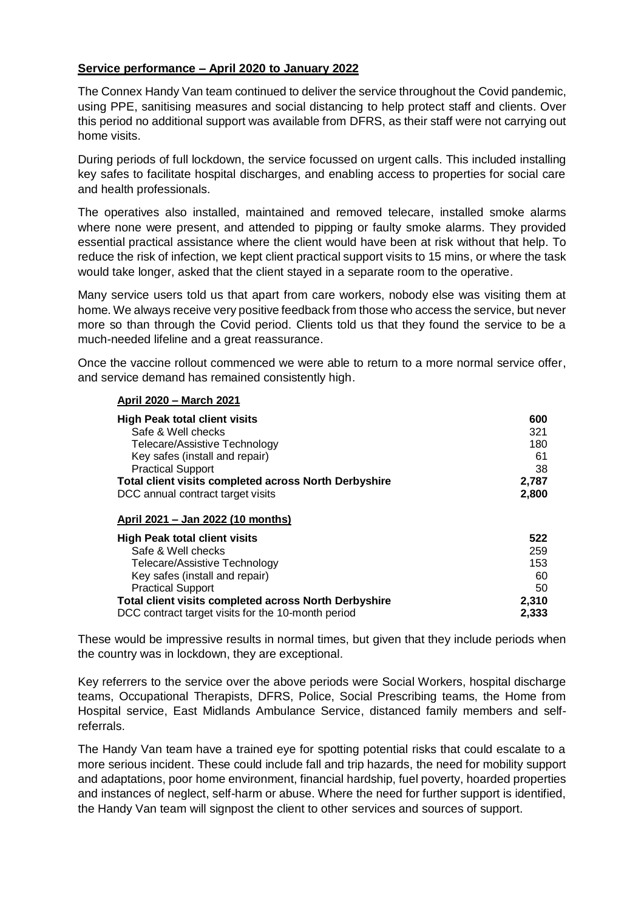### **Service performance – April 2020 to January 2022**

The Connex Handy Van team continued to deliver the service throughout the Covid pandemic, using PPE, sanitising measures and social distancing to help protect staff and clients. Over this period no additional support was available from DFRS, as their staff were not carrying out home visits.

During periods of full lockdown, the service focussed on urgent calls. This included installing key safes to facilitate hospital discharges, and enabling access to properties for social care and health professionals.

The operatives also installed, maintained and removed telecare, installed smoke alarms where none were present, and attended to pipping or faulty smoke alarms. They provided essential practical assistance where the client would have been at risk without that help. To reduce the risk of infection, we kept client practical support visits to 15 mins, or where the task would take longer, asked that the client stayed in a separate room to the operative.

Many service users told us that apart from care workers, nobody else was visiting them at home. We always receive very positive feedback from those who access the service, but never more so than through the Covid period. Clients told us that they found the service to be a much-needed lifeline and a great reassurance.

Once the vaccine rollout commenced we were able to return to a more normal service offer, and service demand has remained consistently high.

#### **April 2020 – March 2021**

| <b>High Peak total client visits</b>                         | 600   |
|--------------------------------------------------------------|-------|
| Safe & Well checks                                           | 321   |
| Telecare/Assistive Technology                                | 180   |
| Key safes (install and repair)                               | 61    |
| <b>Practical Support</b>                                     | 38    |
| <b>Total client visits completed across North Derbyshire</b> | 2,787 |
| DCC annual contract target visits                            | 2,800 |
| April 2021 - Jan 2022 (10 months)                            |       |
| <b>High Peak total client visits</b>                         | 522   |
| Safe & Well checks                                           | 259   |
| Telecare/Assistive Technology                                | 153   |
| Key safes (install and repair)                               | 60    |
| <b>Practical Support</b>                                     | 50    |
| Total client visits completed across North Derbyshire        | 2,310 |
| DCC contract target visits for the 10-month period           | 2,333 |

These would be impressive results in normal times, but given that they include periods when the country was in lockdown, they are exceptional.

Key referrers to the service over the above periods were Social Workers, hospital discharge teams, Occupational Therapists, DFRS, Police, Social Prescribing teams, the Home from Hospital service, East Midlands Ambulance Service, distanced family members and selfreferrals.

The Handy Van team have a trained eye for spotting potential risks that could escalate to a more serious incident. These could include fall and trip hazards, the need for mobility support and adaptations, poor home environment, financial hardship, fuel poverty, hoarded properties and instances of neglect, self-harm or abuse. Where the need for further support is identified, the Handy Van team will signpost the client to other services and sources of support.